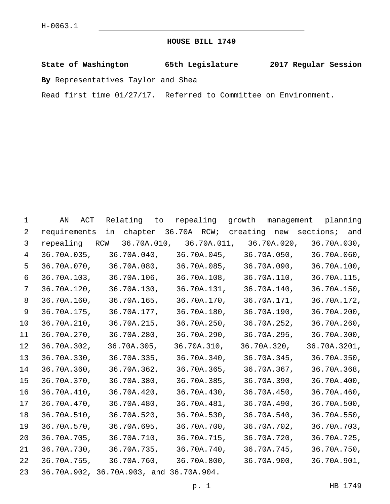## **HOUSE BILL 1749**

**State of Washington 65th Legislature 2017 Regular Session**

**By** Representatives Taylor and Shea

Read first time 01/27/17. Referred to Committee on Environment.

| 1               | ACT<br>ΆN    | Relating to                                                   | repealing   | growth                                            | management planning |
|-----------------|--------------|---------------------------------------------------------------|-------------|---------------------------------------------------|---------------------|
| 2               | requirements |                                                               |             | in chapter 36.70A RCW; creating new sections; and |                     |
| 3               |              | repealing RCW 36.70A.010, 36.70A.011, 36.70A.020, 36.70A.030, |             |                                                   |                     |
| $\overline{4}$  | 36.70A.035,  |                                                               |             | $36.70A.040, 36.70A.045, 36.70A.050, 36.70A.060,$ |                     |
| 5               |              | 36.70A.070, 36.70A.080,                                       |             | 36.70A.085,   36.70A.090,                         | 36.70A.100,         |
| 6               |              | 36.70A.103, 36.70A.106,                                       |             | 36.70A.108, 36.70A.110,                           | 36.70A.115,         |
| $7\phantom{.0}$ | 36.70A.120,  | 36.70A.130,                                                   |             | 36.70A.131, 36.70A.140,                           | 36.70A.150,         |
| 8               | 36.70A.160,  | 36.70A.165,                                                   |             | 36.70A.170, 36.70A.171,                           | 36.70A.172,         |
| 9               | 36.70A.175,  | 36.70A.177,                                                   |             | 36.70A.180, 36.70A.190,                           | 36.70A.200,         |
| 10              | 36.70A.210,  | 36.70A.215,                                                   |             | 36.70A.250, 36.70A.252,                           | 36.70A.260,         |
| 11              | 36.70A.270,  | 36.70A.280,                                                   |             | 36.70A.290, 36.70A.295,                           | 36.70A.300,         |
| 12              | 36.70A.302,  | 36.70A.305,                                                   | 36.70A.310, | 36.70A.320,                                       | 36.70A.3201,        |
| 13              | 36.70A.330,  | 36.70A.335,                                                   |             | 36.70A.340, 36.70A.345,                           | 36.70A.350,         |
| 14              | 36.70A.360,  | 36.70A.362,                                                   |             | 36.70A.365, 36.70A.367,                           | 36.70A.368,         |
| 15              | 36.70A.370,  | 36.70A.380,                                                   | 36.70A.385, | 36.70A.390,                                       | 36.70A.400,         |
| 16              | 36.70A.410,  | 36.70A.420,                                                   | 36.70A.430, | 36.70A.450,                                       | 36.70A.460,         |
| 17              | 36.70A.470,  | 36.70A.480,                                                   | 36.70A.481, | 36.70A.490,                                       | 36.70A.500,         |
| 18              | 36.70A.510,  | 36.70A.520,                                                   | 36.70A.530, | 36.70A.540,                                       | 36.70A.550,         |
| 19              | 36.70A.570,  | 36.70A.695,                                                   | 36.70A.700, | 36.70A.702,                                       | 36.70A.703,         |
| 20              | 36.70A.705,  | 36.70A.710,                                                   |             | 36.70A.715,   36.70A.720,                         | 36.70A.725,         |
| 21              | 36.70A.730,  | 36.70A.735,                                                   |             | 36.70A.740, 36.70A.745,                           | 36.70A.750,         |
| 22              | 36.70A.755,  |                                                               |             | 36.70A.760, 36.70A.800, 36.70A.900,               | 36.70A.901,         |
| 23              |              | 36.70A.902, 36.70A.903, and 36.70A.904.                       |             |                                                   |                     |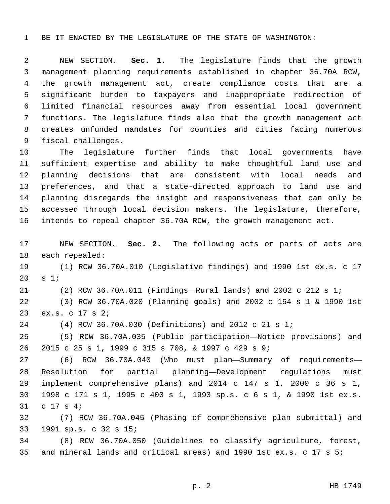BE IT ENACTED BY THE LEGISLATURE OF THE STATE OF WASHINGTON:

 NEW SECTION. **Sec. 1.** The legislature finds that the growth management planning requirements established in chapter 36.70A RCW, the growth management act, create compliance costs that are a significant burden to taxpayers and inappropriate redirection of limited financial resources away from essential local government functions. The legislature finds also that the growth management act creates unfunded mandates for counties and cities facing numerous fiscal challenges.

 The legislature further finds that local governments have sufficient expertise and ability to make thoughtful land use and planning decisions that are consistent with local needs and preferences, and that a state-directed approach to land use and planning disregards the insight and responsiveness that can only be accessed through local decision makers. The legislature, therefore, intends to repeal chapter 36.70A RCW, the growth management act.

 NEW SECTION. **Sec. 2.** The following acts or parts of acts are each repealed:

 (1) RCW 36.70A.010 (Legislative findings) and 1990 1st ex.s. c 17 s  $1i$ 

(2) RCW 36.70A.011 (Findings—Rural lands) and 2002 c 212 s 1;

 (3) RCW 36.70A.020 (Planning goals) and 2002 c 154 s 1 & 1990 1st 23 ex.s. c 17 s 2;

(4) RCW 36.70A.030 (Definitions) and 2012 c 21 s 1;

 (5) RCW 36.70A.035 (Public participation—Notice provisions) and 2015 c 25 s 1, 1999 c 315 s 708, & 1997 c 429 s 9;

 (6) RCW 36.70A.040 (Who must plan—Summary of requirements— Resolution for partial planning—Development regulations must implement comprehensive plans) and 2014 c 147 s 1, 2000 c 36 s 1, 1998 c 171 s 1, 1995 c 400 s 1, 1993 sp.s. c 6 s 1, & 1990 1st ex.s. 31 c 17 s 4;

 (7) RCW 36.70A.045 (Phasing of comprehensive plan submittal) and 1991 sp.s. c 32 s 15;33

 (8) RCW 36.70A.050 (Guidelines to classify agriculture, forest, and mineral lands and critical areas) and 1990 1st ex.s. c 17 s 5;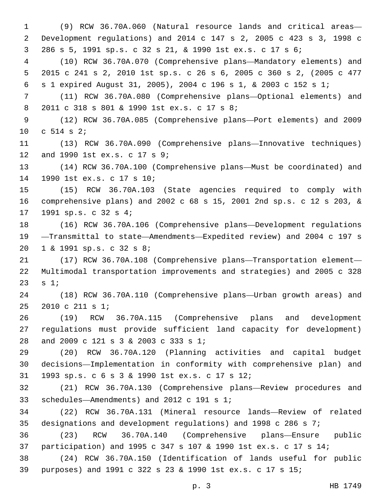(9) RCW 36.70A.060 (Natural resource lands and critical areas— Development regulations) and 2014 c 147 s 2, 2005 c 423 s 3, 1998 c 286 s 5, 1991 sp.s. c 32 s 21, & 1990 1st ex.s. c 17 s 6; (10) RCW 36.70A.070 (Comprehensive plans—Mandatory elements) and 2015 c 241 s 2, 2010 1st sp.s. c 26 s 6, 2005 c 360 s 2, (2005 c 477 s 1 expired August 31, 2005), 2004 c 196 s 1, & 2003 c 152 s 1; (11) RCW 36.70A.080 (Comprehensive plans—Optional elements) and 8 2011 c 318 s 801 & 1990 1st ex.s. c 17 s 8; (12) RCW 36.70A.085 (Comprehensive plans—Port elements) and 2009 10 c s 2; (13) RCW 36.70A.090 (Comprehensive plans—Innovative techniques) 12 and 1990 1st ex.s. c 17 s 9; (14) RCW 36.70A.100 (Comprehensive plans—Must be coordinated) and 14 1990 1st ex.s. c 17 s 10; (15) RCW 36.70A.103 (State agencies required to comply with comprehensive plans) and 2002 c 68 s 15, 2001 2nd sp.s. c 12 s 203, & 17 1991 sp.s. c 32 s 4; (16) RCW 36.70A.106 (Comprehensive plans—Development regulations —Transmittal to state—Amendments—Expedited review) and 2004 c 197 s 20 1 & 1991 sp.s. c 32 s 8; (17) RCW 36.70A.108 (Comprehensive plans—Transportation element— Multimodal transportation improvements and strategies) and 2005 c 328 23  $s 1;$  (18) RCW 36.70A.110 (Comprehensive plans—Urban growth areas) and 25 2010 c 211 s 1; (19) RCW 36.70A.115 (Comprehensive plans and development regulations must provide sufficient land capacity for development) 28 and 2009 c 121 s 3 & 2003 c 333 s 1; (20) RCW 36.70A.120 (Planning activities and capital budget decisions—Implementation in conformity with comprehensive plan) and 1993 sp.s. c 6 s 3 & 1990 1st ex.s. c 17 s 12;31 (21) RCW 36.70A.130 (Comprehensive plans—Review procedures and 33 schedules—Amendments) and 2012 c 191 s 1; (22) RCW 36.70A.131 (Mineral resource lands—Review of related designations and development regulations) and 1998 c 286 s 7; (23) RCW 36.70A.140 (Comprehensive plans—Ensure public participation) and 1995 c 347 s 107 & 1990 1st ex.s. c 17 s 14; (24) RCW 36.70A.150 (Identification of lands useful for public purposes) and 1991 c 322 s 23 & 1990 1st ex.s. c 17 s 15;

p. 3 HB 1749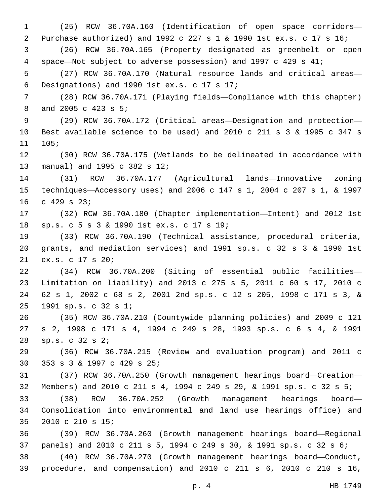(25) RCW 36.70A.160 (Identification of open space corridors— Purchase authorized) and 1992 c 227 s 1 & 1990 1st ex.s. c 17 s 16; (26) RCW 36.70A.165 (Property designated as greenbelt or open space—Not subject to adverse possession) and 1997 c 429 s 41; (27) RCW 36.70A.170 (Natural resource lands and critical areas— Designations) and 1990 1st ex.s. c 17 s 17;6 (28) RCW 36.70A.171 (Playing fields—Compliance with this chapter) 8 and 2005 c 423 s 5; (29) RCW 36.70A.172 (Critical areas—Designation and protection— Best available science to be used) and 2010 c 211 s 3 & 1995 c 347 s 105; (30) RCW 36.70A.175 (Wetlands to be delineated in accordance with 13 manual) and 1995 c 382 s 12; (31) RCW 36.70A.177 (Agricultural lands—Innovative zoning techniques—Accessory uses) and 2006 c 147 s 1, 2004 c 207 s 1, & 1997 16 c 429 s 23; (32) RCW 36.70A.180 (Chapter implementation—Intent) and 2012 1st sp.s. c 5 s 3 & 1990 1st ex.s. c 17 s 19;18 (33) RCW 36.70A.190 (Technical assistance, procedural criteria, grants, and mediation services) and 1991 sp.s. c 32 s 3 & 1990 1st 21 ex.s. c 17 s 20; (34) RCW 36.70A.200 (Siting of essential public facilities— Limitation on liability) and 2013 c 275 s 5, 2011 c 60 s 17, 2010 c 62 s 1, 2002 c 68 s 2, 2001 2nd sp.s. c 12 s 205, 1998 c 171 s 3, & 1991 sp.s. c 32 s 1;25 (35) RCW 36.70A.210 (Countywide planning policies) and 2009 c 121 s 2, 1998 c 171 s 4, 1994 c 249 s 28, 1993 sp.s. c 6 s 4, & 1991 sp.s.  $C$  32 s  $2i$  (36) RCW 36.70A.215 (Review and evaluation program) and 2011 c 30 353 s 3 & 1997 c 429 s 25; (37) RCW 36.70A.250 (Growth management hearings board—Creation— Members) and 2010 c 211 s 4, 1994 c 249 s 29, & 1991 sp.s. c 32 s 5; (38) RCW 36.70A.252 (Growth management hearings board— Consolidation into environmental and land use hearings office) and 35 2010 c 210 s 15; (39) RCW 36.70A.260 (Growth management hearings board—Regional panels) and 2010 c 211 s 5, 1994 c 249 s 30, & 1991 sp.s. c 32 s 6; (40) RCW 36.70A.270 (Growth management hearings board—Conduct, procedure, and compensation) and 2010 c 211 s 6, 2010 c 210 s 16,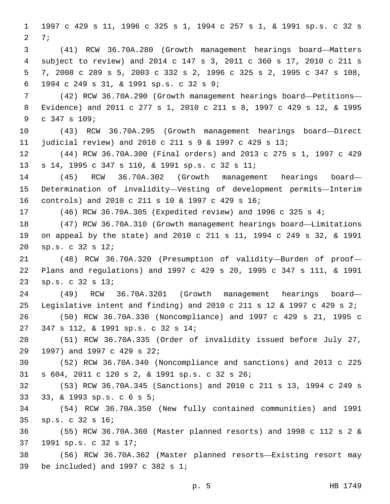1997 c 429 s 11, 1996 c 325 s 1, 1994 c 257 s 1, & 1991 sp.s. c 32 s 2 7; (41) RCW 36.70A.280 (Growth management hearings board—Matters subject to review) and 2014 c 147 s 3, 2011 c 360 s 17, 2010 c 211 s 7, 2008 c 289 s 5, 2003 c 332 s 2, 1996 c 325 s 2, 1995 c 347 s 108, 1994 c 249 s 31, & 1991 sp.s. c 32 s 9;6 (42) RCW 36.70A.290 (Growth management hearings board—Petitions— Evidence) and 2011 c 277 s 1, 2010 c 211 s 8, 1997 c 429 s 12, & 1995 9 c 347 s 109; (43) RCW 36.70A.295 (Growth management hearings board—Direct judicial review) and 2010 c 211 s 9 & 1997 c 429 s 13; (44) RCW 36.70A.300 (Final orders) and 2013 c 275 s 1, 1997 c 429 s 14, 1995 c 347 s 110, & 1991 sp.s. c 32 s 11;13 (45) RCW 36.70A.302 (Growth management hearings board— Determination of invalidity—Vesting of development permits—Interim controls) and 2010 c 211 s 10 & 1997 c 429 s 16;16 (46) RCW 36.70A.305 (Expedited review) and 1996 c 325 s 4; (47) RCW 36.70A.310 (Growth management hearings board—Limitations on appeal by the state) and 2010 c 211 s 11, 1994 c 249 s 32, & 1991 sp.s. c 32 s 12;20 (48) RCW 36.70A.320 (Presumption of validity—Burden of proof— Plans and regulations) and 1997 c 429 s 20, 1995 c 347 s 111, & 1991 sp.s. c 32 s 13;23 (49) RCW 36.70A.3201 (Growth management hearings board— Legislative intent and finding) and 2010 c 211 s 12 & 1997 c 429 s 2; (50) RCW 36.70A.330 (Noncompliance) and 1997 c 429 s 21, 1995 c 347 s 112, & 1991 sp.s. c 32 s 14;27 (51) RCW 36.70A.335 (Order of invalidity issued before July 27, 29 1997) and 1997 c 429 s 22; (52) RCW 36.70A.340 (Noncompliance and sanctions) and 2013 c 225 s 604, 2011 c 120 s 2, & 1991 sp.s. c 32 s 26;31 (53) RCW 36.70A.345 (Sanctions) and 2010 c 211 s 13, 1994 c 249 s 33, & 1993 sp.s. c 6 s 5; (54) RCW 36.70A.350 (New fully contained communities) and 1991 sp.s. c 32 s 16;35 (55) RCW 36.70A.360 (Master planned resorts) and 1998 c 112 s 2 & 1991 sp.s. c 32 s 17;37 (56) RCW 36.70A.362 (Master planned resorts—Existing resort may 39 be included) and c  $382$  s  $1$ ;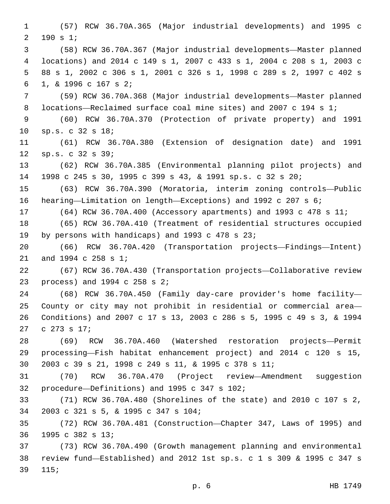(57) RCW 36.70A.365 (Major industrial developments) and 1995 c 2 190 s 1; (58) RCW 36.70A.367 (Major industrial developments—Master planned locations) and 2014 c 149 s 1, 2007 c 433 s 1, 2004 c 208 s 1, 2003 c 88 s 1, 2002 c 306 s 1, 2001 c 326 s 1, 1998 c 289 s 2, 1997 c 402 s 1, & 1996 c 167 s 2;6 (59) RCW 36.70A.368 (Major industrial developments—Master planned locations—Reclaimed surface coal mine sites) and 2007 c 194 s 1; (60) RCW 36.70A.370 (Protection of private property) and 1991 10 sp.s. c 32 s 18; (61) RCW 36.70A.380 (Extension of designation date) and 1991 sp.s. c 32 s 39;12 (62) RCW 36.70A.385 (Environmental planning pilot projects) and 1998 c 245 s 30, 1995 c 399 s 43, & 1991 sp.s. c 32 s 20; (63) RCW 36.70A.390 (Moratoria, interim zoning controls—Public hearing—Limitation on length—Exceptions) and 1992 c 207 s 6; (64) RCW 36.70A.400 (Accessory apartments) and 1993 c 478 s 11; (65) RCW 36.70A.410 (Treatment of residential structures occupied 19 by persons with handicaps) and 1993 c 478 s 23; (66) RCW 36.70A.420 (Transportation projects—Findings—Intent) 21 and 1994 c 258 s 1; (67) RCW 36.70A.430 (Transportation projects—Collaborative review 23 process) and c  $258$  s  $2i$  (68) RCW 36.70A.450 (Family day-care provider's home facility— County or city may not prohibit in residential or commercial area— Conditions) and 2007 c 17 s 13, 2003 c 286 s 5, 1995 c 49 s 3, & 1994 27 c 273 s 17; (69) RCW 36.70A.460 (Watershed restoration projects—Permit processing—Fish habitat enhancement project) and 2014 c 120 s 15, 2003 c 39 s 21, 1998 c 249 s 11, & 1995 c 378 s 11; (70) RCW 36.70A.470 (Project review—Amendment suggestion 32 procedure—Definitions) and 1995 c 347 s 102; (71) RCW 36.70A.480 (Shorelines of the state) and 2010 c 107 s 2, 2003 c 321 s 5, & 1995 c 347 s 104;34 (72) RCW 36.70A.481 (Construction—Chapter 347, Laws of 1995) and 36 1995 c 382 s 13; (73) RCW 36.70A.490 (Growth management planning and environmental review fund—Established) and 2012 1st sp.s. c 1 s 309 & 1995 c 347 s 39 115;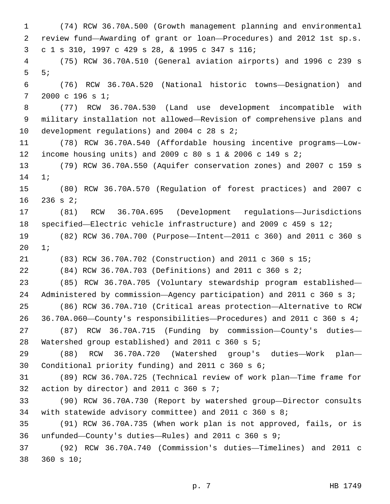(74) RCW 36.70A.500 (Growth management planning and environmental review fund—Awarding of grant or loan—Procedures) and 2012 1st sp.s. c 1 s 310, 1997 c 429 s 28, & 1995 c 347 s 116;3 (75) RCW 36.70A.510 (General aviation airports) and 1996 c 239 s 5;5 (76) RCW 36.70A.520 (National historic towns—Designation) and 7 2000 c 196 s 1; (77) RCW 36.70A.530 (Land use development incompatible with military installation not allowed—Revision of comprehensive plans and 10 development regulations) and 2004 c 28 s  $2i$  (78) RCW 36.70A.540 (Affordable housing incentive programs—Low- income housing units) and 2009 c 80 s 1 & 2006 c 149 s 2; (79) RCW 36.70A.550 (Aquifer conservation zones) and 2007 c 159 s 14 1*;*  (80) RCW 36.70A.570 (Regulation of forest practices) and 2007 c 16 236 s 2; (81) RCW 36.70A.695 (Development regulations—Jurisdictions specified—Electric vehicle infrastructure) and 2009 c 459 s 12; (82) RCW 36.70A.700 (Purpose—Intent—2011 c 360) and 2011 c 360 s 20 1; (83) RCW 36.70A.702 (Construction) and 2011 c 360 s 15; (84) RCW 36.70A.703 (Definitions) and 2011 c 360 s 2; (85) RCW 36.70A.705 (Voluntary stewardship program established— 24 Administered by commission—Agency participation) and 2011 c 360 s 3; (86) RCW 36.70A.710 (Critical areas protection—Alternative to RCW 36.70A.060—County's responsibilities—Procedures) and 2011 c 360 s 4; (87) RCW 36.70A.715 (Funding by commission—County's duties— 28 Watershed group established) and 2011 c 360 s 5; (88) RCW 36.70A.720 (Watershed group's duties—Work plan— 30 Conditional priority funding) and 2011 c 360 s 6; (89) RCW 36.70A.725 (Technical review of work plan—Time frame for 32 action by director) and 2011 c 360 s  $7:32$  (90) RCW 36.70A.730 (Report by watershed group—Director consults with statewide advisory committee) and 2011 c 360 s 8; (91) RCW 36.70A.735 (When work plan is not approved, fails, or is unfunded—County's duties—Rules) and 2011 c 360 s 9; (92) RCW 36.70A.740 (Commission's duties—Timelines) and 2011 c 38 360 s 10;